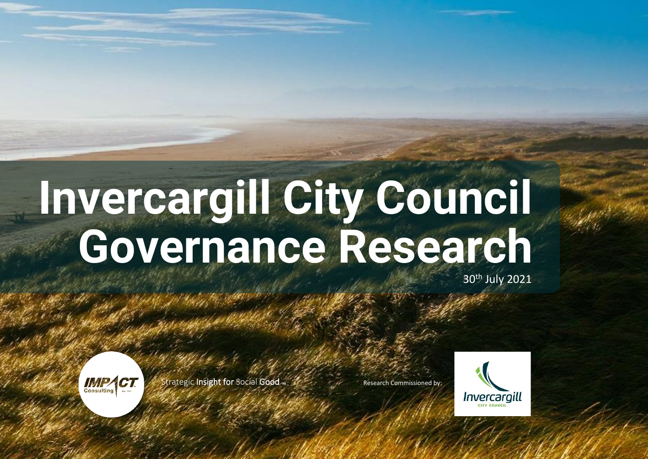## **Invercargill City Council** 30th July 2021 **Governance Research**



trategic Insight for Social Good  $<sub>m</sub>$ </sub>

Research Commissioned by:



1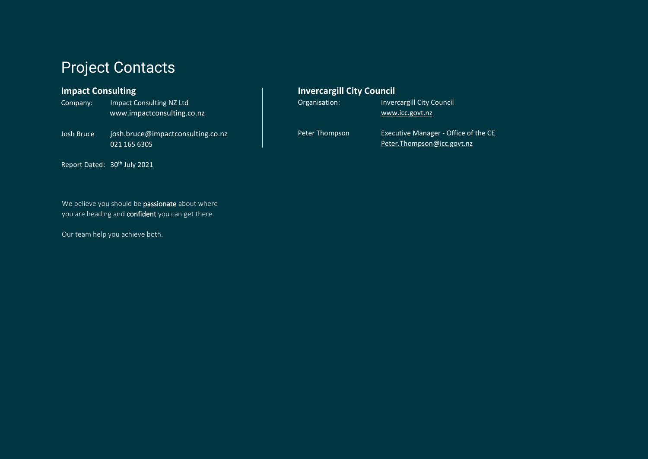### Project Contacts

#### **Impact Consulting**

| Company:   | Impact Consulting NZ Ltd          |
|------------|-----------------------------------|
|            | www.impactconsulting.co.nz        |
| Josh Bruce | josh.bruce@impactconsulting.co.nz |
|            | 021 165 6305                      |

Report Dated: 30<sup>th</sup> July 2021

#### We believe you should be passionate about where you are heading and **confident** you can get there.

Our team help you achieve both.

#### **Invercargill City Council**

| Organisation: | <b>Invercargill City Council</b> |
|---------------|----------------------------------|
|               | www.icc.govt.nz                  |
|               |                                  |

Peter Thompson Executive Manager - Office of the CE [Peter.Thompson@icc.govt.nz](mailto:Peter.Thompson@icc.govt.nz)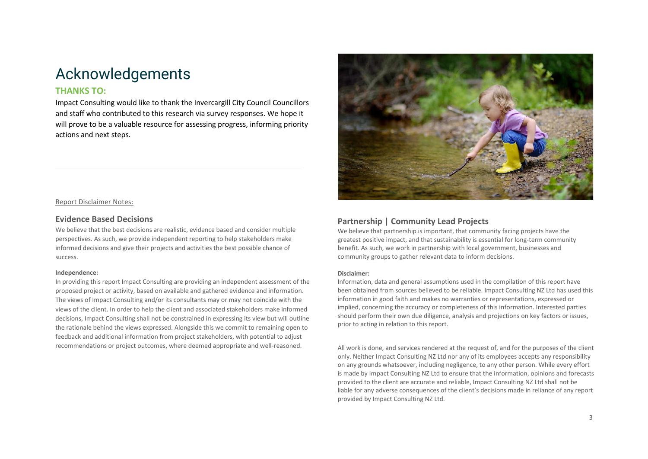### <span id="page-2-0"></span>Acknowledgements

#### **THANKS TO:**

Impact Consulting would like to thank the Invercargill City Council Councillors and staff who contributed to this research via survey responses. We hope it will prove to be a valuable resource for assessing progress, informing priority actions and next steps.



Report Disclaimer Notes:

#### **Evidence Based Decisions**

We believe that the best decisions are realistic, evidence based and consider multiple perspectives. As such, we provide independent reporting to help stakeholders make informed decisions and give their projects and activities the best possible chance of success.

#### **Independence:**

In providing this report Impact Consulting are providing an independent assessment of the proposed project or activity, based on available and gathered evidence and information. The views of Impact Consulting and/or its consultants may or may not coincide with the views of the client. In order to help the client and associated stakeholders make informed decisions, Impact Consulting shall not be constrained in expressing its view but will outline the rationale behind the views expressed. Alongside this we commit to remaining open to feedback and additional information from project stakeholders, with potential to adjust recommendations or project outcomes, where deemed appropriate and well-reasoned.

#### **Partnership | Community Lead Projects**

We believe that partnership is important, that community facing projects have the greatest positive impact, and that sustainability is essential for long-term community benefit. As such, we work in partnership with local government, businesses and community groups to gather relevant data to inform decisions.

#### **Disclaimer:**

Information, data and general assumptions used in the compilation of this report have been obtained from sources believed to be reliable. Impact Consulting NZ Ltd has used this information in good faith and makes no warranties or representations, expressed or implied, concerning the accuracy or completeness of this information. Interested parties should perform their own due diligence, analysis and projections on key factors or issues, prior to acting in relation to this report.

All work is done, and services rendered at the request of, and for the purposes of the client only. Neither Impact Consulting NZ Ltd nor any of its employees accepts any responsibility on any grounds whatsoever, including negligence, to any other person. While every effort is made by Impact Consulting NZ Ltd to ensure that the information, opinions and forecasts provided to the client are accurate and reliable, Impact Consulting NZ Ltd shall not be liable for any adverse consequences of the client's decisions made in reliance of any report provided by Impact Consulting NZ Ltd.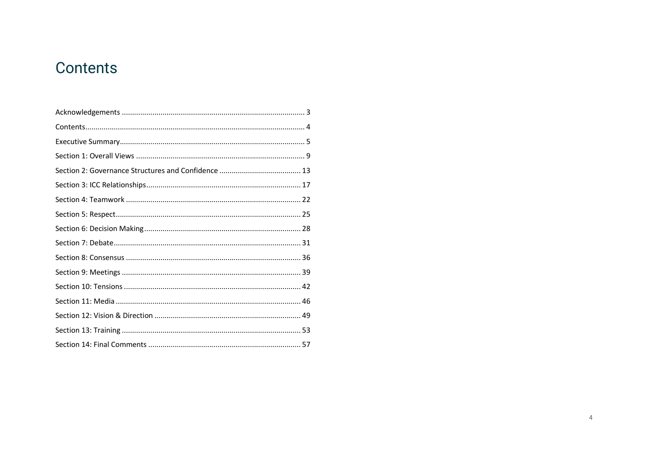### <span id="page-3-0"></span>Contents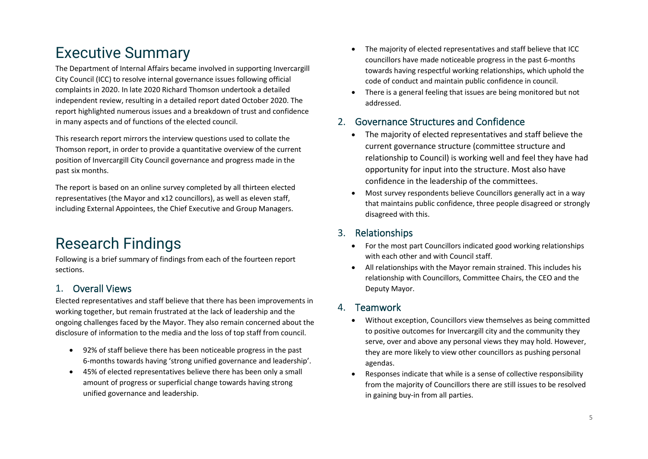### <span id="page-4-0"></span>Executive Summary

The Department of Internal Affairs became involved in supporting Invercargill City Council (ICC) to resolve internal governance issues following official complaints in 2020. In late 2020 Richard Thomson undertook a detailed independent review, resulting in a detailed report dated October 2020. The report highlighted numerous issues and a breakdown of trust and confidence in many aspects and of functions of the elected council.

This research report mirrors the interview questions used to collate the Thomson report, in order to provide a quantitative overview of the current position of Invercargill City Council governance and progress made in the past six months.

The report is based on an online survey completed by all thirteen elected representatives (the Mayor and x12 councillors), as well as eleven staff, including External Appointees, the Chief Executive and Group Managers.

### Research Findings

Following is a brief summary of findings from each of the fourteen report sections.

### 1. Overall Views

Elected representatives and staff believe that there has been improvements in working together, but remain frustrated at the lack of leadership and the ongoing challenges faced by the Mayor. They also remain concerned about the disclosure of information to the media and the loss of top staff from council.

- 92% of staff believe there has been noticeable progress in the past 6-months towards having 'strong unified governance and leadership'.
- 45% of elected representatives believe there has been only a small amount of progress or superficial change towards having strong unified governance and leadership.
- The majority of elected representatives and staff believe that ICC councillors have made noticeable progress in the past 6-months towards having respectful working relationships, which uphold the code of conduct and maintain public confidence in council.
- There is a general feeling that issues are being monitored but not addressed.

### 2. Governance Structures and Confidence

- The majority of elected representatives and staff believe the current governance structure (committee structure and relationship to Council) is working well and feel they have had opportunity for input into the structure. Most also have confidence in the leadership of the committees.
- Most survey respondents believe Councillors generally act in a way that maintains public confidence, three people disagreed or strongly disagreed with this.

### 3. Relationships

- For the most part Councillors indicated good working relationships with each other and with Council staff.
- All relationships with the Mayor remain strained. This includes his relationship with Councillors, Committee Chairs, the CEO and the Deputy Mayor.

### 4. Teamwork

- Without exception, Councillors view themselves as being committed to positive outcomes for Invercargill city and the community they serve, over and above any personal views they may hold. However, they are more likely to view other councillors as pushing personal agendas.
- Responses indicate that while is a sense of collective responsibility from the majority of Councillors there are still issues to be resolved in gaining buy-in from all parties.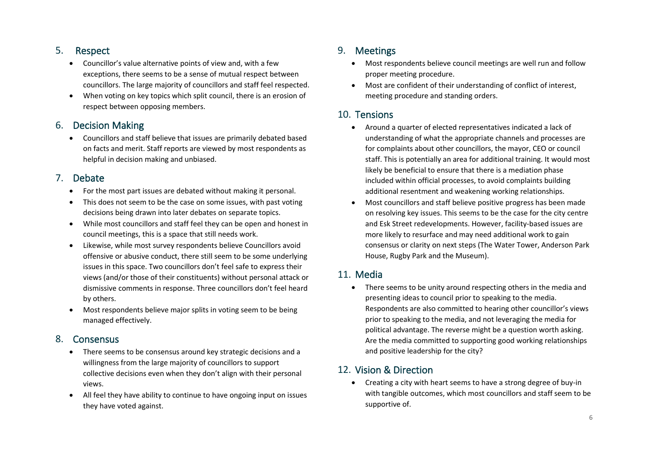### 5. Respect

- Councillor's value alternative points of view and, with a few exceptions, there seems to be a sense of mutual respect between councillors. The large majority of councillors and staff feel respected.
- When voting on key topics which split council, there is an erosion of respect between opposing members.

#### 6. Decision Making

• Councillors and staff believe that issues are primarily debated based on facts and merit. Staff reports are viewed by most respondents as helpful in decision making and unbiased.

#### 7. Debate

- For the most part issues are debated without making it personal.
- This does not seem to be the case on some issues, with past voting decisions being drawn into later debates on separate topics.
- While most councillors and staff feel they can be open and honest in council meetings, this is a space that still needs work.
- Likewise, while most survey respondents believe Councillors avoid offensive or abusive conduct, there still seem to be some underlying issues in this space. Two councillors don't feel safe to express their views (and/or those of their constituents) without personal attack or dismissive comments in response. Three councillors don't feel heard by others.
- Most respondents believe major splits in voting seem to be being managed effectively.

### 8. Consensus

- There seems to be consensus around key strategic decisions and a willingness from the large majority of councillors to support collective decisions even when they don't align with their personal views.
- All feel they have ability to continue to have ongoing input on issues they have voted against.

### 9. Meetings

- Most respondents believe council meetings are well run and follow proper meeting procedure.
- Most are confident of their understanding of conflict of interest, meeting procedure and standing orders.

#### 10. Tensions

- Around a quarter of elected representatives indicated a lack of understanding of what the appropriate channels and processes are for complaints about other councillors, the mayor, CEO or council staff. This is potentially an area for additional training. It would most likely be beneficial to ensure that there is a mediation phase included within official processes, to avoid complaints building additional resentment and weakening working relationships.
- Most councillors and staff believe positive progress has been made on resolving key issues. This seems to be the case for the city centre and Esk Street redevelopments. However, facility-based issues are more likely to resurface and may need additional work to gain consensus or clarity on next steps (The Water Tower, Anderson Park House, Rugby Park and the Museum).

### 11. Media

• There seems to be unity around respecting others in the media and presenting ideas to council prior to speaking to the media. Respondents are also committed to hearing other councillor's views prior to speaking to the media, and not leveraging the media for political advantage. The reverse might be a question worth asking. Are the media committed to supporting good working relationships and positive leadership for the city?

### 12. Vision & Direction

• Creating a city with heart seems to have a strong degree of buy-in with tangible outcomes, which most councillors and staff seem to be supportive of.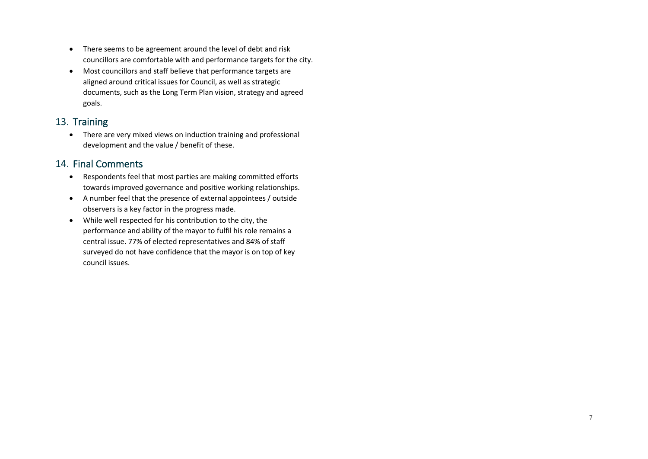- There seems to be agreement around the level of debt and risk councillors are comfortable with and performance targets for the city.
- Most councillors and staff believe that performance targets are aligned around critical issues for Council, as well as strategic documents, such as the Long Term Plan vision, strategy and agreed goals.

#### 13. Training

• There are very mixed views on induction training and professional development and the value / benefit of these.

#### 14. Final Comments

- Respondents feel that most parties are making committed efforts towards improved governance and positive working relationships.
- A number feel that the presence of external appointees / outside observers is a key factor in the progress made.
- While well respected for his contribution to the city, the performance and ability of the mayor to fulfil his role remains a central issue. 77% of elected representatives and 84% of staff surveyed do not have confidence that the mayor is on top of key council issues.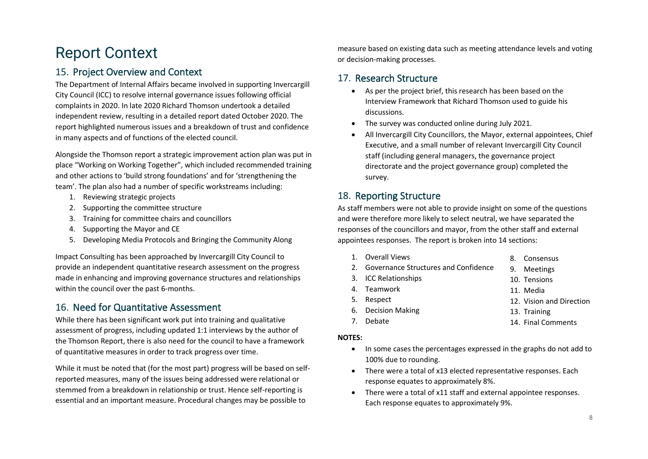### Report Context

#### 15. Project Overview and Context

The Department of Internal Affairs became involved in supporting Invercargill City Council (ICC) to resolve internal governance issues following official complaints in 2020. In late 2020 Richard Thomson undertook a detailed independent review, resulting in a detailed report dated October 2020. The report highlighted numerous issues and a breakdown of trust and confidence in many aspects and of functions of the elected council.

Alongside the Thomson report a strategic improvement action plan was put in place "Working on Working Together", which included recommended training and other actions to 'build strong foundations' and for 'strengthening the team'. The plan also had a number of specific workstreams including:

- 1. Reviewing strategic projects
- 2. Supporting the committee structure
- 3. Training for committee chairs and councillors
- 4. Supporting the Mayor and CE
- 5. Developing Media Protocols and Bringing the Community Along

Impact Consulting has been approached by Invercargill City Council to provide an independent quantitative research assessment on the progress made in enhancing and improving governance structures and relationships within the council over the past 6-months.

#### 16. Need for Quantitative Assessment

While there has been significant work put into training and qualitative assessment of progress, including updated 1:1 interviews by the author of the Thomson Report, there is also need for the council to have a framework of quantitative measures in order to track progress over time.

While it must be noted that (for the most part) progress will be based on selfreported measures, many of the issues being addressed were relational or stemmed from a breakdown in relationship or trust. Hence self-reporting is essential and an important measure. Procedural changes may be possible to

measure based on existing data such as meeting attendance levels and voting or decision-making processes.

#### 17. Research Structure

- As per the project brief, this research has been based on the Interview Framework that Richard Thomson used to guide his discussions.
- The survey was conducted online during July 2021.
- All Invercargill City Councillors, the Mayor, external appointees, Chief Executive, and a small number of relevant Invercargill City Council staff (including general managers, the governance project directorate and the project governance group) completed the survey.

#### 18. Reporting Structure

As staff members were not able to provide insight on some of the questions and were therefore more likely to select neutral, we have separated the responses of the councillors and mayor, from the other staff and external appointees responses. The report is broken into 14 sections:

- 1. Overall Views
- 2. Governance Structures and Confidence 9. Meetings
- 3. ICC Relationships
- 4. Teamwork
- 5. Respect
- 12. Vision and Direction
- 6. Decision Making 13. Training
- 7. Debate

14. Final Comments

8. Consensus

10. Tensions 11. Media

#### **NOTES:**

- In some cases the percentages expressed in the graphs do not add to 100% due to rounding.
- There were a total of x13 elected representative responses. Each response equates to approximately 8%.
- There were a total of x11 staff and external appointee responses. Each response equates to approximately 9%.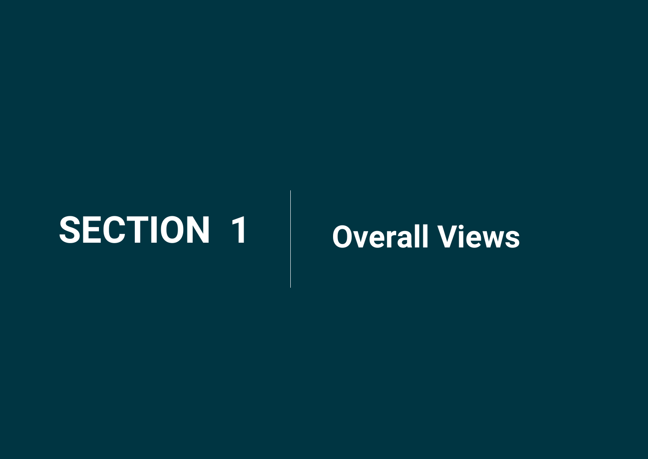## <span id="page-8-0"></span>**SECTION 1 Overall Views**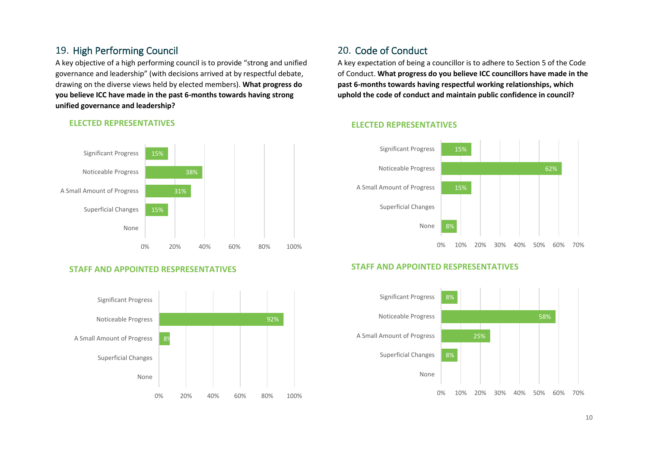#### 19. High Performing Council

A key objective of a high performing council is to provide "strong and unified governance and leadership" (with decisions arrived at by respectful debate, drawing on the diverse views held by elected members). **What progress do you believe ICC have made in the past 6-months towards having strong unified governance and leadership?**



#### **ELECTED REPRESENTATIVES**

#### **STAFF AND APPOINTED RESPRESENTATIVES**



#### 20. Code of Conduct

A key expectation of being a councillor is to adhere to Section 5 of the Code of Conduct. **What progress do you believe ICC councillors have made in the past 6-months towards having respectful working relationships, which uphold the code of conduct and maintain public confidence in council?**

#### **ELECTED REPRESENTATIVES**



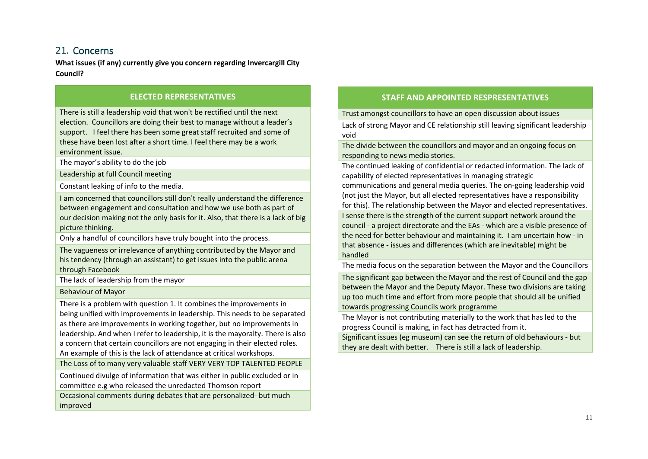#### 21. Concerns

**What issues (if any) currently give you concern regarding Invercargill City Council?**

#### **ELECTED REPRESENTATIVES**

There is still a leadership void that won't be rectified until the next election. Councillors are doing their best to manage without a leader's support. I feel there has been some great staff recruited and some of these have been lost after a short time. I feel there may be a work environment issue.

The mayor's ability to do the job

Leadership at full Council meeting

Constant leaking of info to the media.

I am concerned that councillors still don't really understand the difference between engagement and consultation and how we use both as part of our decision making not the only basis for it. Also, that there is a lack of big picture thinking.

Only a handful of councillors have truly bought into the process.

The vagueness or irrelevance of anything contributed by the Mayor and his tendency (through an assistant) to get issues into the public arena through Facebook

The lack of leadership from the mayor

Behaviour of Mayor

There is a problem with question 1. It combines the improvements in being unified with improvements in leadership. This needs to be separated as there are improvements in working together, but no improvements in leadership. And when I refer to leadership, it is the mayoralty. There is also a concern that certain councillors are not engaging in their elected roles. An example of this is the lack of attendance at critical workshops.

The Loss of to many very valuable staff VERY VERY TOP TALENTED PEOPLE

Continued divulge of information that was either in public excluded or in committee e.g who released the unredacted Thomson report

Occasional comments during debates that are personalized- but much improved

#### **STAFF AND APPOINTED RESPRESENTATIVES**

Trust amongst councillors to have an open discussion about issues

Lack of strong Mayor and CE relationship still leaving significant leadership void

The divide between the councillors and mayor and an ongoing focus on responding to news media stories.

The continued leaking of confidential or redacted information. The lack of capability of elected representatives in managing strategic

communications and general media queries. The on-going leadership void (not just the Mayor, but all elected representatives have a responsibility for this). The relationship between the Mayor and elected representatives. I sense there is the strength of the current support network around the council - a project directorate and the EAs - which are a visible presence of the need for better behaviour and maintaining it. I am uncertain how - in that absence - issues and differences (which are inevitable) might be handled

The media focus on the separation between the Mayor and the Councillors

The significant gap between the Mayor and the rest of Council and the gap between the Mayor and the Deputy Mayor. These two divisions are taking up too much time and effort from more people that should all be unified towards progressing Councils work programme

The Mayor is not contributing materially to the work that has led to the progress Council is making, in fact has detracted from it.

Significant issues (eg museum) can see the return of old behaviours - but they are dealt with better. There is still a lack of leadership.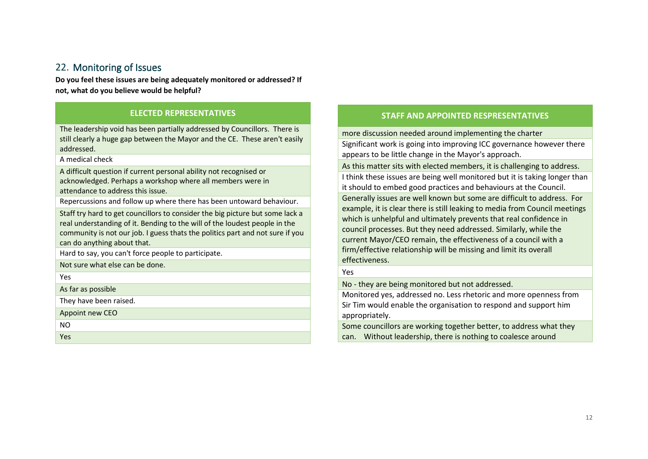#### 22. Monitoring of Issues

**Do you feel these issues are being adequately monitored or addressed? If not, what do you believe would be helpful?**

#### **ELECTED REPRESENTATIVES**

The leadership void has been partially addressed by Councillors. There is still clearly a huge gap between the Mayor and the CE. These aren't easily addressed.

A medical check

A difficult question if current personal ability not recognised or acknowledged. Perhaps a workshop where all members were in attendance to address this issue.

Repercussions and follow up where there has been untoward behaviour.

Staff try hard to get councillors to consider the big picture but some lack a real understanding of it. Bending to the will of the loudest people in the community is not our job. I guess thats the politics part and not sure if you can do anything about that.

Hard to say, you can't force people to participate.

Not sure what else can be done.

Yes

As far as possible

They have been raised.

Appoint new CEO

NO

Yes

#### **STAFF AND APPOINTED RESPRESENTATIVES**

more discussion needed around implementing the charter

Significant work is going into improving ICC governance however there appears to be little change in the Mayor's approach.

As this matter sits with elected members, it is challenging to address.

I think these issues are being well monitored but it is taking longer than it should to embed good practices and behaviours at the Council.

Generally issues are well known but some are difficult to address. For example, it is clear there is still leaking to media from Council meetings which is unhelpful and ultimately prevents that real confidence in council processes. But they need addressed. Similarly, while the current Mayor/CEO remain, the effectiveness of a council with a firm/effective relationship will be missing and limit its overall effectiveness.

Yes

No - they are being monitored but not addressed.

Monitored yes, addressed no. Less rhetoric and more openness from Sir Tim would enable the organisation to respond and support him appropriately.

Some councillors are working together better, to address what they can. Without leadership, there is nothing to coalesce around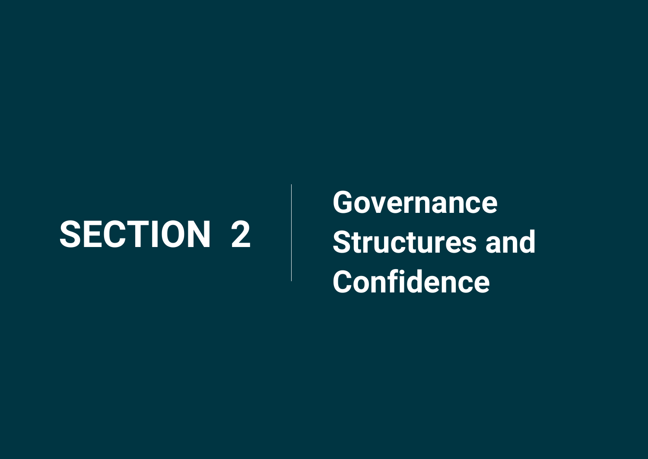## <span id="page-12-0"></span>**SECTION 2**

**Governance Structures and Confidence**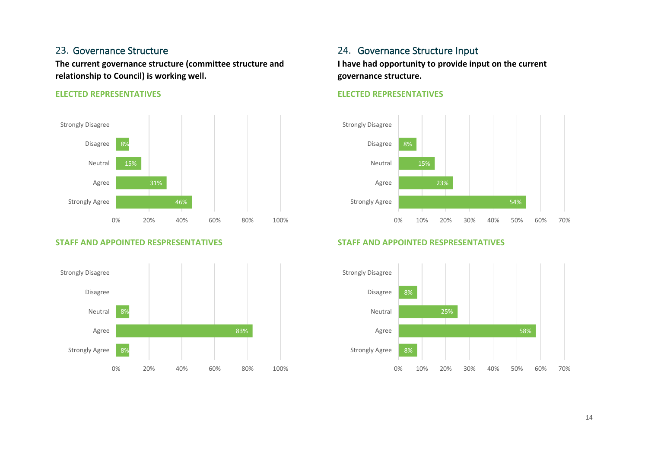#### 23. Governance Structure

**The current governance structure (committee structure and relationship to Council) is working well.**

#### **ELECTED REPRESENTATIVES**



#### **STAFF AND APPOINTED RESPRESENTATIVES**



#### 24. Governance Structure Input

**I have had opportunity to provide input on the current governance structure.**

#### **ELECTED REPRESENTATIVES**



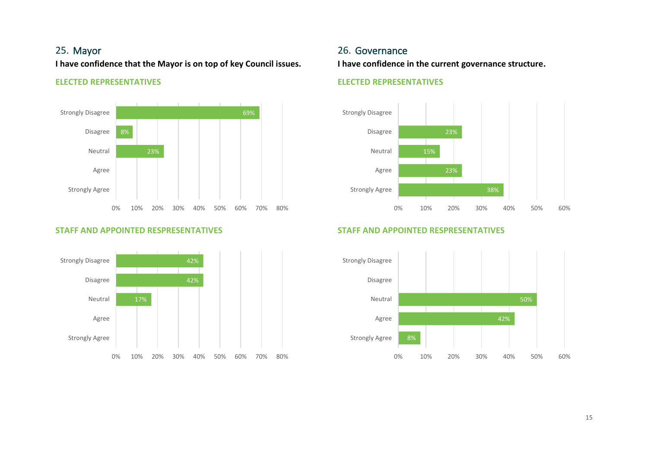#### 25. Mayor

**I have confidence that the Mayor is on top of key Council issues.**

#### **ELECTED REPRESENTATIVES**



#### **STAFF AND APPOINTED RESPRESENTATIVES**



#### 26. Governance

**I have confidence in the current governance structure.**

#### **ELECTED REPRESENTATIVES**



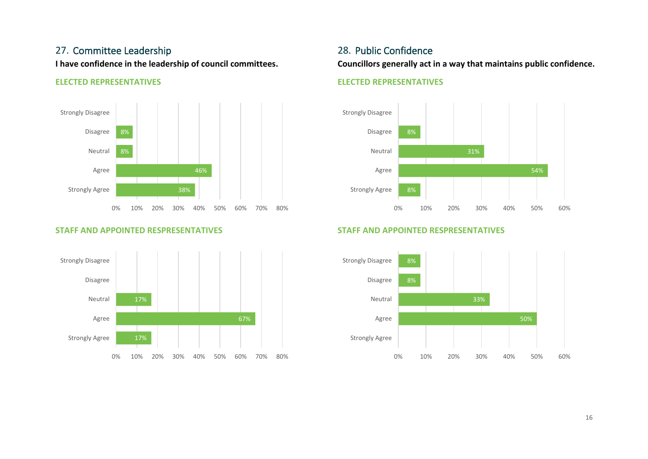#### 27. Committee Leadership

**I have confidence in the leadership of council committees.**

#### **ELECTED REPRESENTATIVES**



#### **STAFF AND APPOINTED RESPRESENTATIVES**



#### 28. Public Confidence

**Councillors generally act in a way that maintains public confidence.**

#### **ELECTED REPRESENTATIVES**



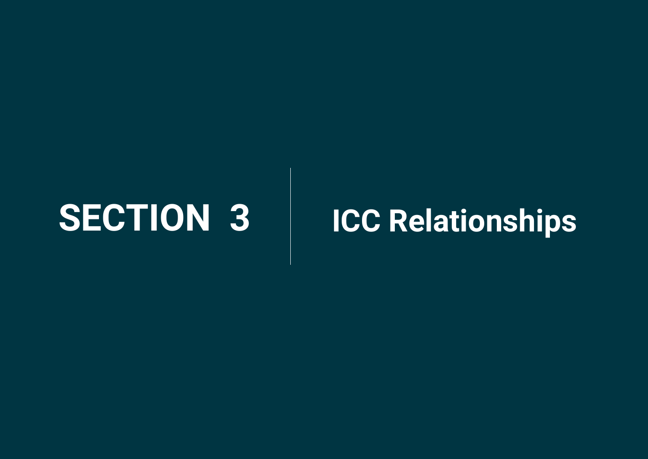## <span id="page-16-0"></span>**SECTION 3 ICC Relationships**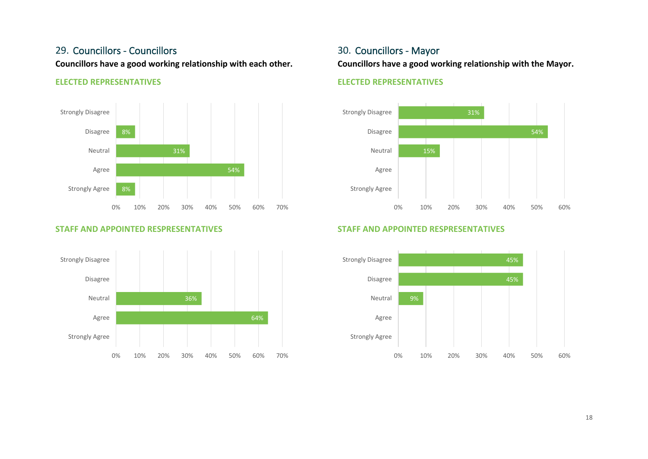#### 29. Councillors - Councillors

**Councillors have a good working relationship with each other.**

#### **ELECTED REPRESENTATIVES**



#### **STAFF AND APPOINTED RESPRESENTATIVES**



#### 30. Councillors - Mayor

**Councillors have a good working relationship with the Mayor.**

#### **ELECTED REPRESENTATIVES**



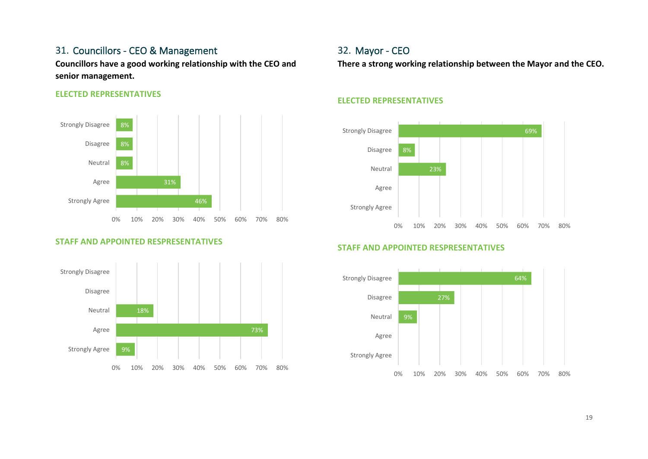#### 31. Councillors - CEO & Management

**Councillors have a good working relationship with the CEO and senior management.**

#### **ELECTED REPRESENTATIVES**



#### **STAFF AND APPOINTED RESPRESENTATIVES**



#### 32. Mayor - CEO

**There a strong working relationship between the Mayor and the CEO.**

#### **ELECTED REPRESENTATIVES**



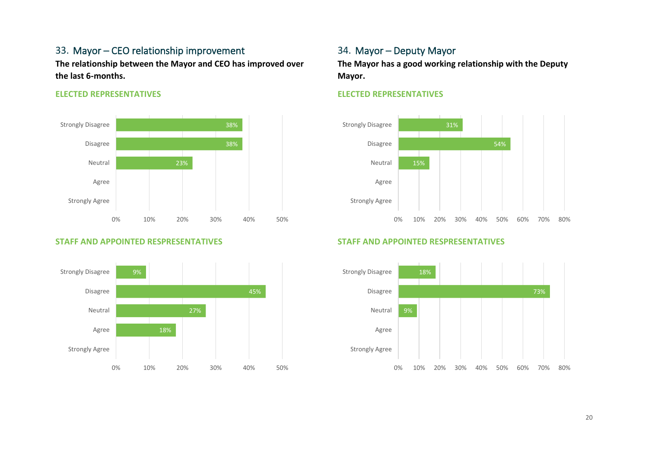### 33. Mayor – CEO relationship improvement

**The relationship between the Mayor and CEO has improved over the last 6-months.**

#### **ELECTED REPRESENTATIVES**



#### **STAFF AND APPOINTED RESPRESENTATIVES**



#### 34. Mayor – Deputy Mayor

**The Mayor has a good working relationship with the Deputy Mayor.**

#### **ELECTED REPRESENTATIVES**



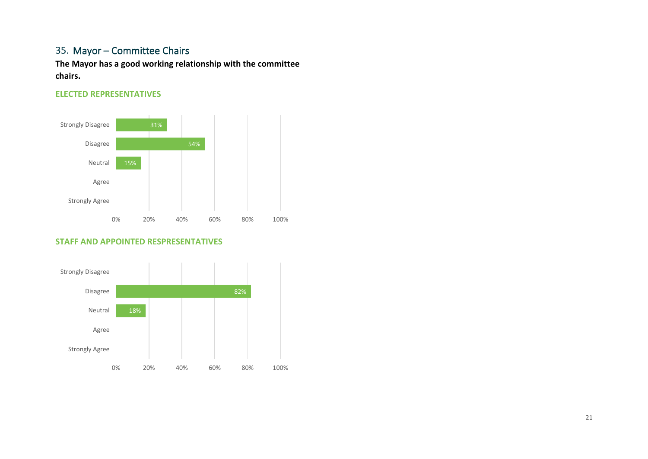#### 35. Mayor – Committee Chairs

**The Mayor has a good working relationship with the committee chairs.**

#### **ELECTED REPRESENTATIVES**



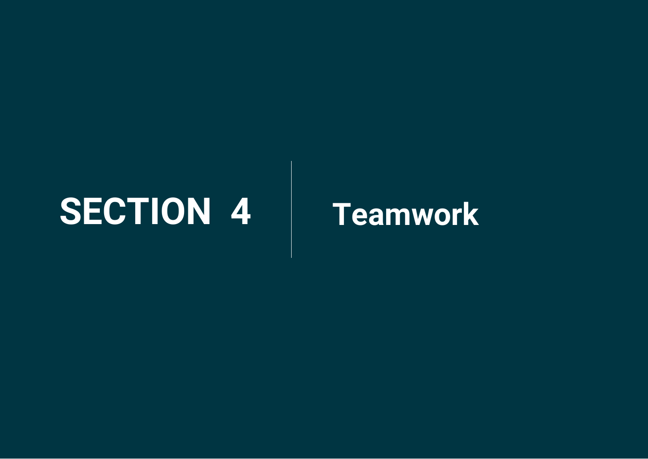## <span id="page-21-0"></span>**SECTION 4 Teamwork**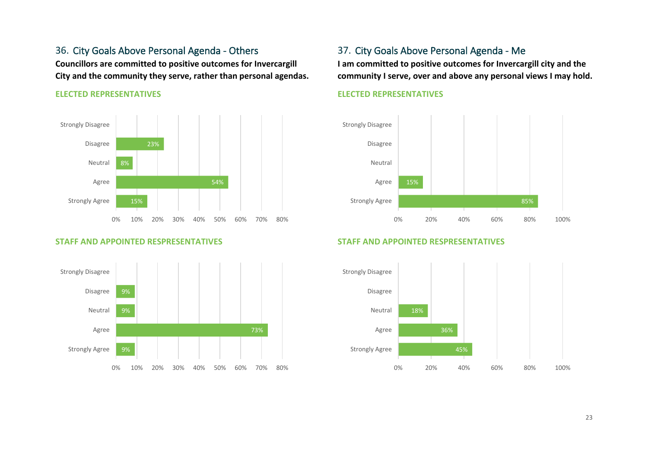36. City Goals Above Personal Agenda - Others **Councillors are committed to positive outcomes for Invercargill City and the community they serve, rather than personal agendas.**

#### **ELECTED REPRESENTATIVES**



#### **STAFF AND APPOINTED RESPRESENTATIVES**



#### 37. City Goals Above Personal Agenda - Me

**I am committed to positive outcomes for Invercargill city and the community I serve, over and above any personal views I may hold.**

#### **ELECTED REPRESENTATIVES**



**STAFF AND APPOINTED RESPRESENTATIVES**

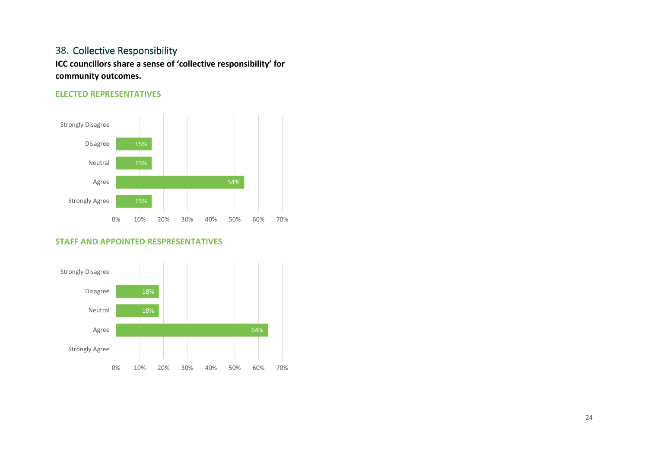#### 38. Collective Responsibility

**ICC councillors share a sense of 'collective responsibility' for community outcomes.**

#### **ELECTED REPRESENTATIVES**



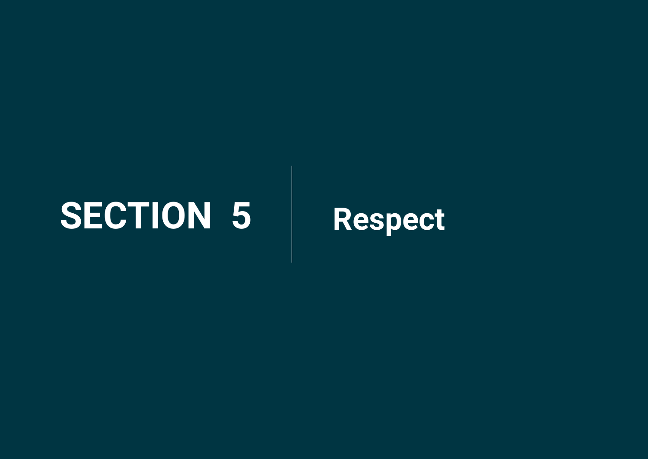## <span id="page-24-0"></span>**SECTION 5 Respect**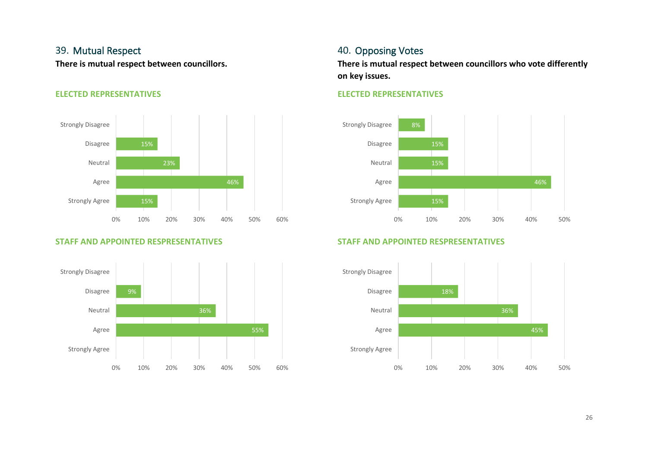#### 39. Mutual Respect

**There is mutual respect between councillors.**

#### **ELECTED REPRESENTATIVES**



#### **STAFF AND APPOINTED RESPRESENTATIVES**



#### 40. Opposing Votes

**There is mutual respect between councillors who vote differently on key issues.**

#### **ELECTED REPRESENTATIVES**



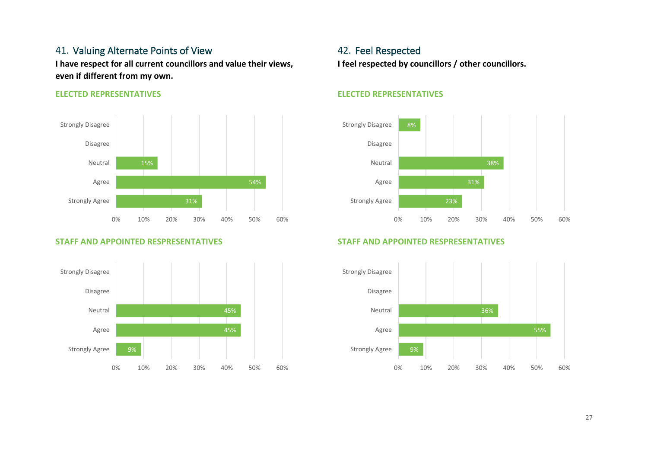#### 41. Valuing Alternate Points of View

**I have respect for all current councillors and value their views, even if different from my own.**

#### **ELECTED REPRESENTATIVES**



#### **STAFF AND APPOINTED RESPRESENTATIVES**



#### 42. Feel Respected **I feel respected by councillors / other councillors.**

#### **ELECTED REPRESENTATIVES**



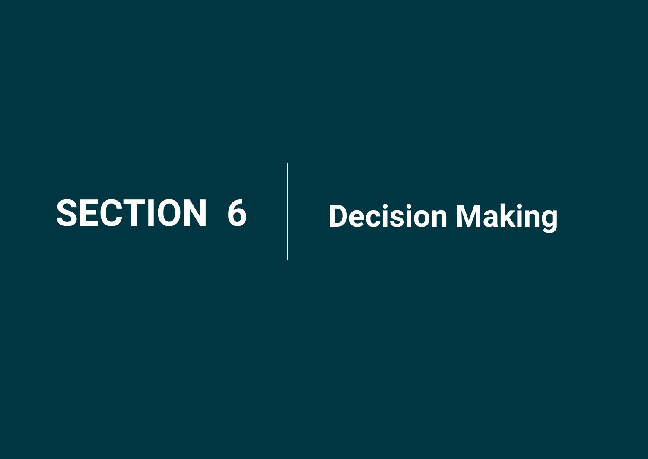## <span id="page-27-0"></span>**SECTION 6 Decision Making**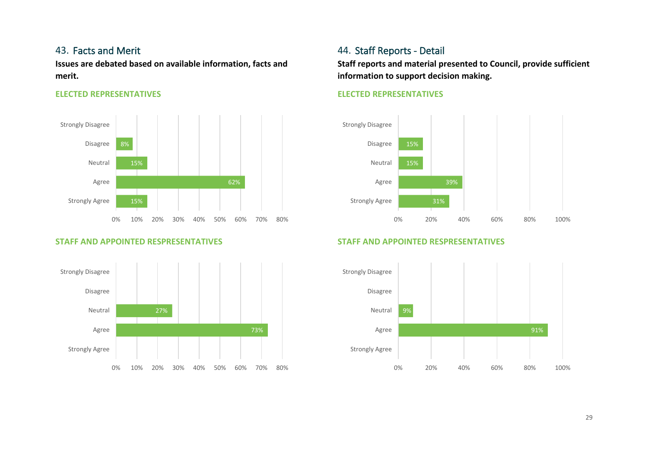#### 43. Facts and Merit

**Issues are debated based on available information, facts and merit.**

#### **ELECTED REPRESENTATIVES**



#### **STAFF AND APPOINTED RESPRESENTATIVES**



#### 44. Staff Reports - Detail

**Staff reports and material presented to Council, provide sufficient information to support decision making.**

#### **ELECTED REPRESENTATIVES**



**STAFF AND APPOINTED RESPRESENTATIVES**

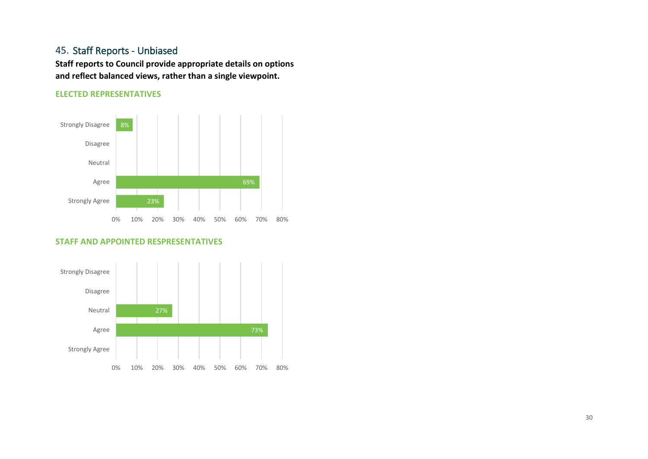#### 45. Staff Reports - Unbiased

**Staff reports to Council provide appropriate details on options and reflect balanced views, rather than a single viewpoint.**

#### **ELECTED REPRESENTATIVES**



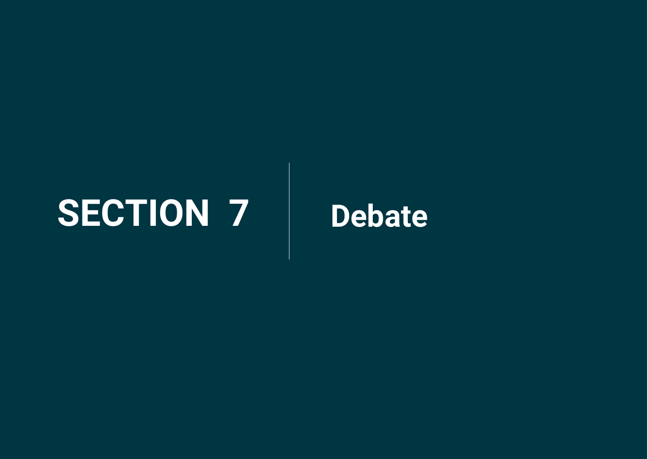## <span id="page-30-0"></span>**SECTION 7 Debate**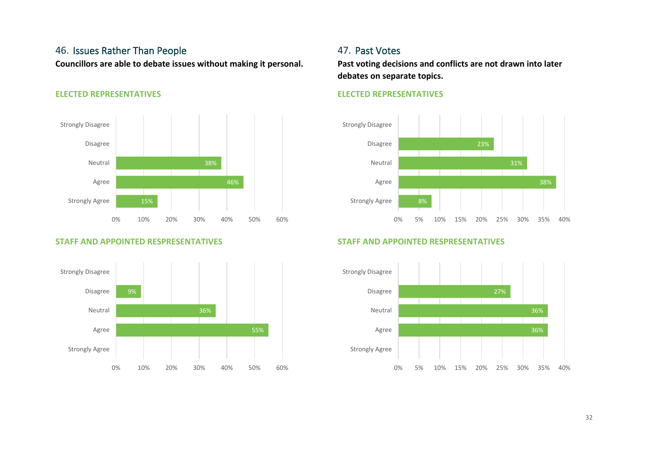#### 46. Issues Rather Than People

**Councillors are able to debate issues without making it personal.**

#### **ELECTED REPRESENTATIVES**



#### **STAFF AND APPOINTED RESPRESENTATIVES**



#### 47. Past Votes

**Past voting decisions and conflicts are not drawn into later debates on separate topics.**

#### **ELECTED REPRESENTATIVES**



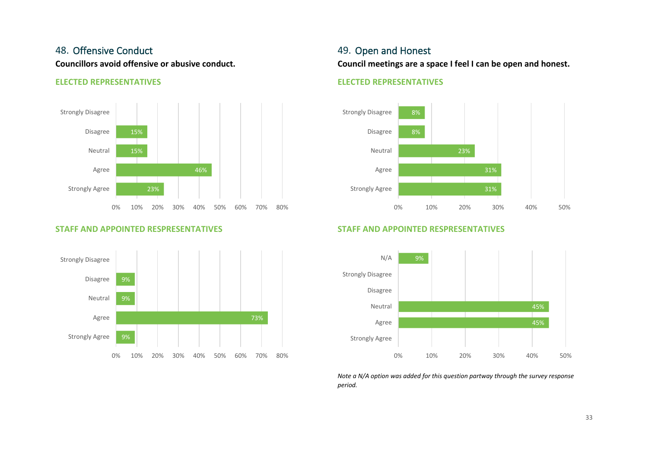#### 48. Offensive Conduct

**Councillors avoid offensive or abusive conduct.**

#### **ELECTED REPRESENTATIVES**



#### **STAFF AND APPOINTED RESPRESENTATIVES**



#### 49. Open and Honest

**Council meetings are a space I feel I can be open and honest.**

#### **ELECTED REPRESENTATIVES**



#### **STAFF AND APPOINTED RESPRESENTATIVES**



*Note a N/A option was added for this question partway through the survey response period.*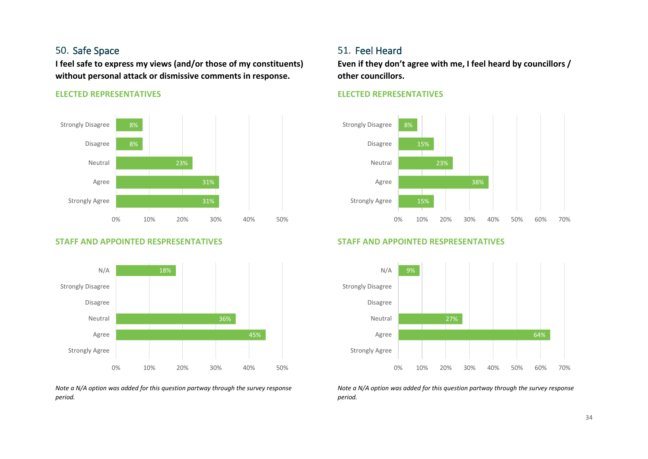#### 50. Safe Space

**I feel safe to express my views (and/or those of my constituents) without personal attack or dismissive comments in response.**

#### **ELECTED REPRESENTATIVES**



#### **STAFF AND APPOINTED RESPRESENTATIVES**



*Note a N/A option was added for this question partway through the survey response period.* 

#### 51. Feel Heard

**Even if they don't agree with me, I feel heard by councillors / other councillors.**

#### **ELECTED REPRESENTATIVES**



#### **STAFF AND APPOINTED RESPRESENTATIVES**



*Note a N/A option was added for this question partway through the survey response period.*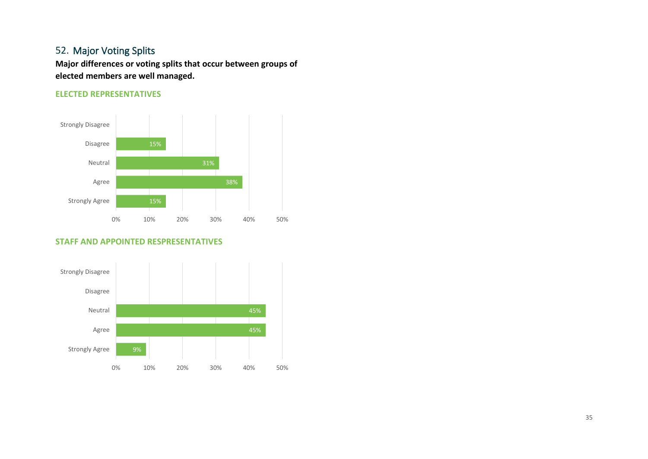#### 52. Major Voting Splits

**Major differences or voting splits that occur between groups of elected members are well managed.**

#### **ELECTED REPRESENTATIVES**



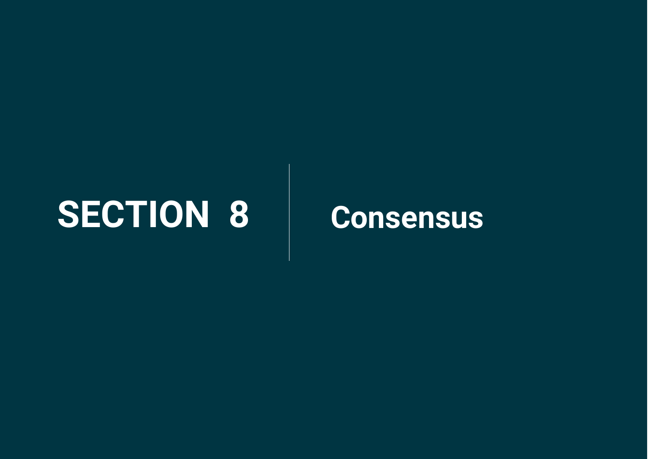## <span id="page-35-0"></span>**SECTION 8 Consensus**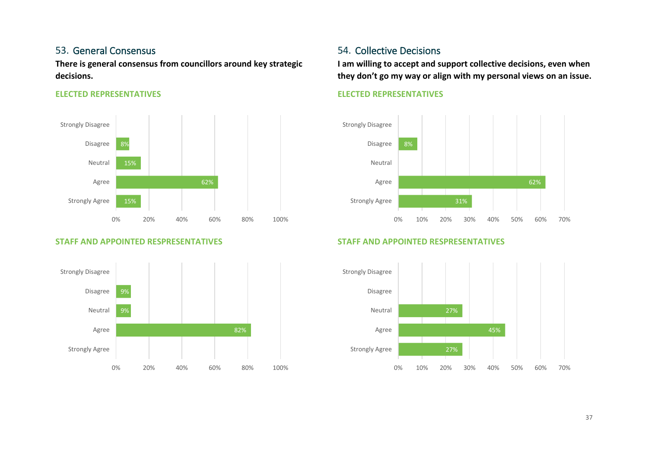#### 53. General Consensus

**There is general consensus from councillors around key strategic decisions.**

#### **ELECTED REPRESENTATIVES**



#### **STAFF AND APPOINTED RESPRESENTATIVES**



#### 54. Collective Decisions

**I am willing to accept and support collective decisions, even when they don't go my way or align with my personal views on an issue.**

#### **ELECTED REPRESENTATIVES**



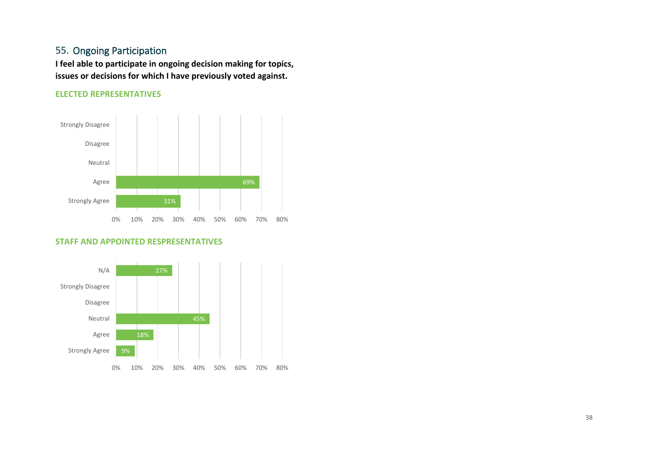#### 55. Ongoing Participation

**I feel able to participate in ongoing decision making for topics, issues or decisions for which I have previously voted against.**

#### **ELECTED REPRESENTATIVES**



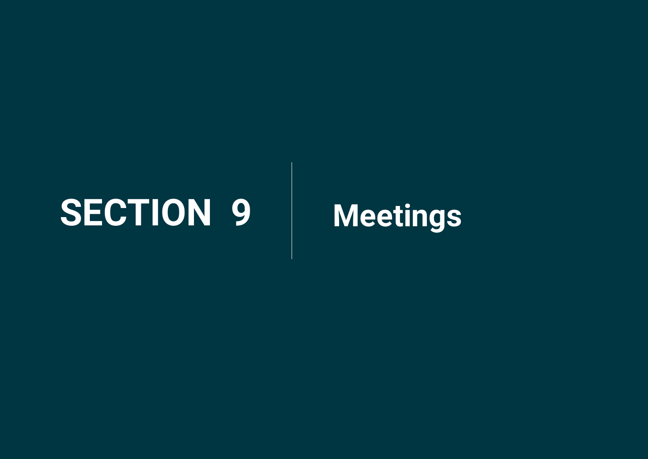## <span id="page-38-0"></span>**SECTION 9 Meetings**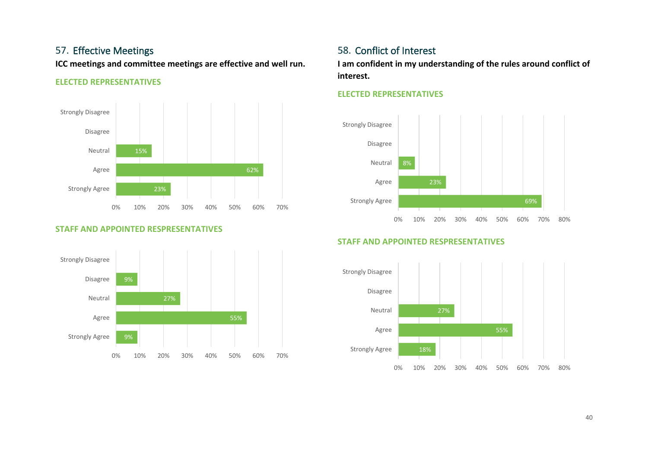#### 57. Effective Meetings

**ICC meetings and committee meetings are effective and well run.**

#### **ELECTED REPRESENTATIVES**



#### **STAFF AND APPOINTED RESPRESENTATIVES**



### 58. Conflict of Interest

**I am confident in my understanding of the rules around conflict of interest.**

#### **ELECTED REPRESENTATIVES**



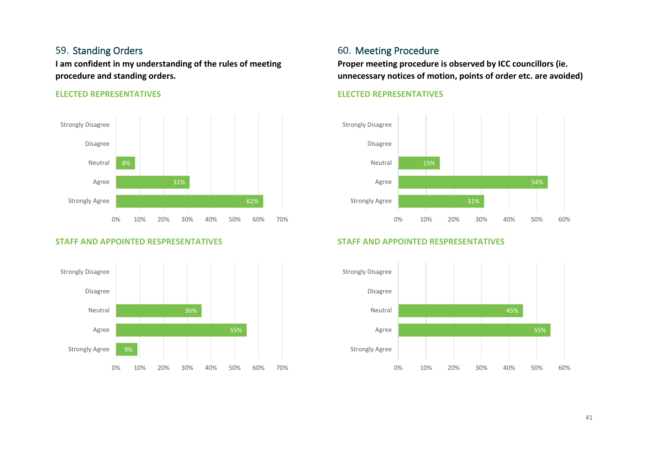#### 59. Standing Orders

**I am confident in my understanding of the rules of meeting procedure and standing orders.**

#### **ELECTED REPRESENTATIVES**



#### **STAFF AND APPOINTED RESPRESENTATIVES**



#### 60. Meeting Procedure

**Proper meeting procedure is observed by ICC councillors (ie. unnecessary notices of motion, points of order etc. are avoided)**

#### **ELECTED REPRESENTATIVES**



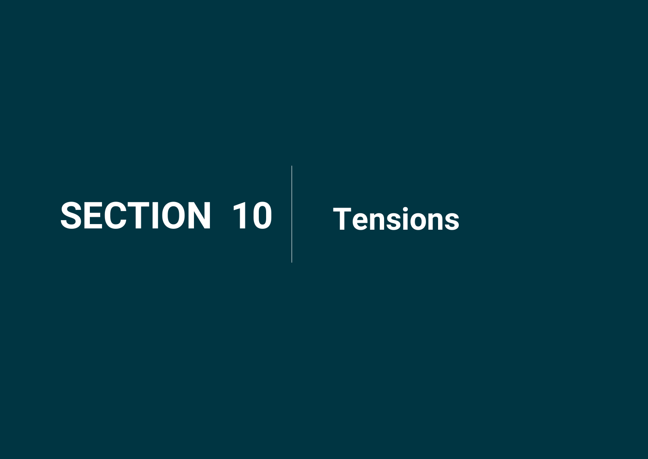## <span id="page-41-0"></span>**SECTION 10 Tensions**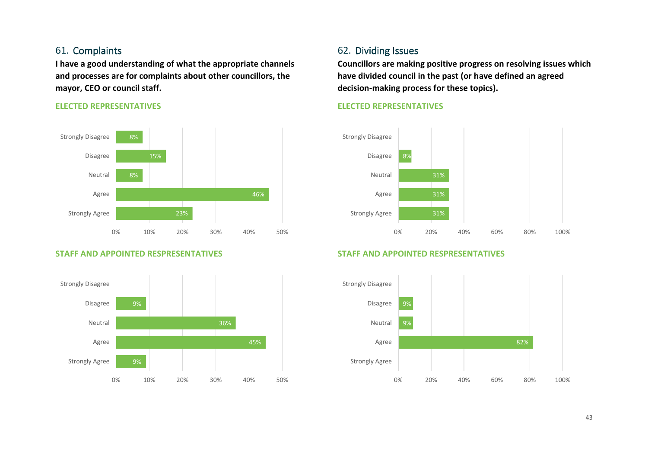#### 61. Complaints

**I have a good understanding of what the appropriate channels and processes are for complaints about other councillors, the mayor, CEO or council staff.**

#### **ELECTED REPRESENTATIVES**



#### **STAFF AND APPOINTED RESPRESENTATIVES**



#### 62. Dividing Issues

**Councillors are making positive progress on resolving issues which have divided council in the past (or have defined an agreed decision-making process for these topics).**

#### **ELECTED REPRESENTATIVES**



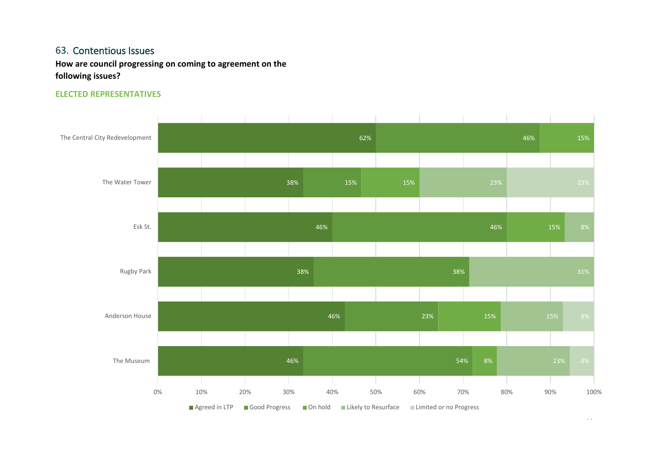#### 63. Contentious Issues

**How are council progressing on coming to agreement on the following issues?**

#### **ELECTED REPRESENTATIVES**



 $+\rightarrow$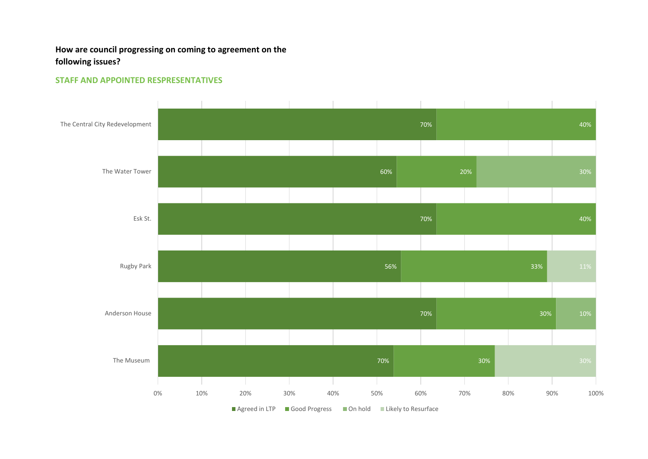#### **How are council progressing on coming to agreement on the following issues?**

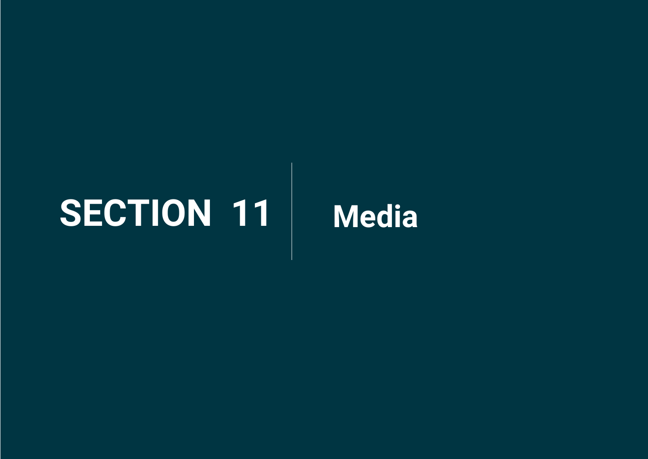## <span id="page-45-0"></span>**SECTION 11 Media**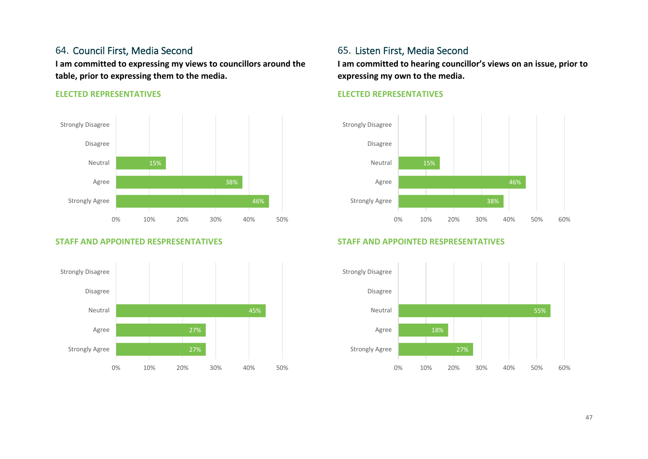#### 64. Council First, Media Second

**I am committed to expressing my views to councillors around the table, prior to expressing them to the media.**

#### **ELECTED REPRESENTATIVES**



#### **STAFF AND APPOINTED RESPRESENTATIVES**



#### 65. Listen First, Media Second

**I am committed to hearing councillor's views on an issue, prior to expressing my own to the media.**

#### **ELECTED REPRESENTATIVES**



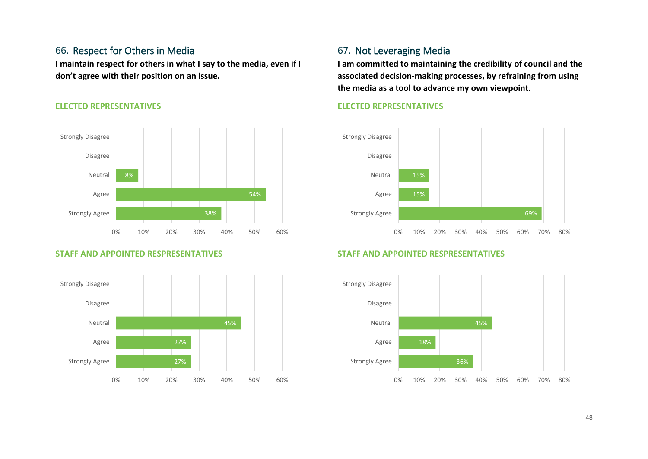#### 66. Respect for Others in Media

**I maintain respect for others in what I say to the media, even if I don't agree with their position on an issue.**

#### **ELECTED REPRESENTATIVES**



#### **STAFF AND APPOINTED RESPRESENTATIVES**



#### 67. Not Leveraging Media

**I am committed to maintaining the credibility of council and the associated decision-making processes, by refraining from using the media as a tool to advance my own viewpoint.**

#### **ELECTED REPRESENTATIVES**



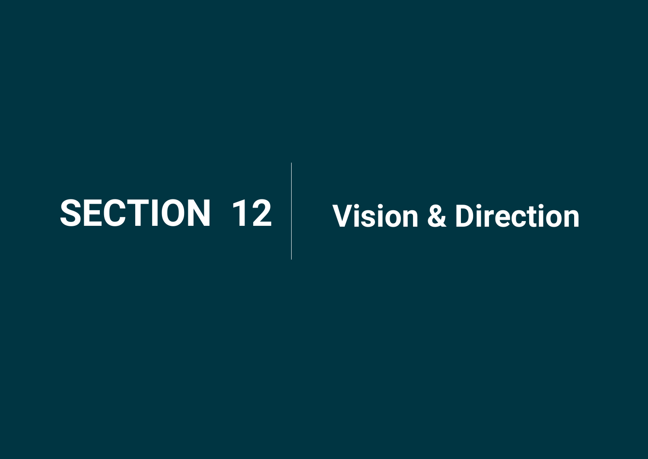# <span id="page-48-0"></span>**SECTION 12 Vision & Direction**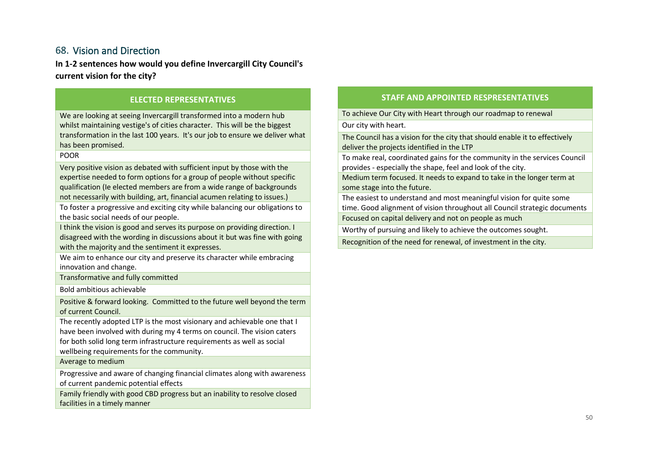#### 68. Vision and Direction

**In 1-2 sentences how would you define Invercargill City Council's current vision for the city?**

#### **ELECTED REPRESENTATIVES**

We are looking at seeing Invercargill transformed into a modern hub whilst maintaining vestige's of cities character. This will be the biggest transformation in the last 100 years. It's our job to ensure we deliver what has been promised.

#### POOR

Very positive vision as debated with sufficient input by those with the expertise needed to form options for a group of people without specific qualification (Ie elected members are from a wide range of backgrounds not necessarily with building, art, financial acumen relating to issues.)

To foster a progressive and exciting city while balancing our obligations to the basic social needs of our people.

I think the vision is good and serves its purpose on providing direction. I disagreed with the wording in discussions about it but was fine with going with the majority and the sentiment it expresses.

We aim to enhance our city and preserve its character while embracing innovation and change.

Transformative and fully committed

Bold ambitious achievable

Positive & forward looking. Committed to the future well beyond the term of current Council.

The recently adopted LTP is the most visionary and achievable one that I have been involved with during my 4 terms on council. The vision caters for both solid long term infrastructure requirements as well as social wellbeing requirements for the community.

Average to medium

Progressive and aware of changing financial climates along with awareness of current pandemic potential effects

Family friendly with good CBD progress but an inability to resolve closed facilities in a timely manner

#### **STAFF AND APPOINTED RESPRESENTATIVES**

To achieve Our City with Heart through our roadmap to renewal

Our city with heart.

The Council has a vision for the city that should enable it to effectively deliver the projects identified in the LTP

To make real, coordinated gains for the community in the services Council provides - especially the shape, feel and look of the city.

Medium term focused. It needs to expand to take in the longer term at some stage into the future.

The easiest to understand and most meaningful vision for quite some time. Good alignment of vision throughout all Council strategic documents

Focused on capital delivery and not on people as much

Worthy of pursuing and likely to achieve the outcomes sought.

Recognition of the need for renewal, of investment in the city.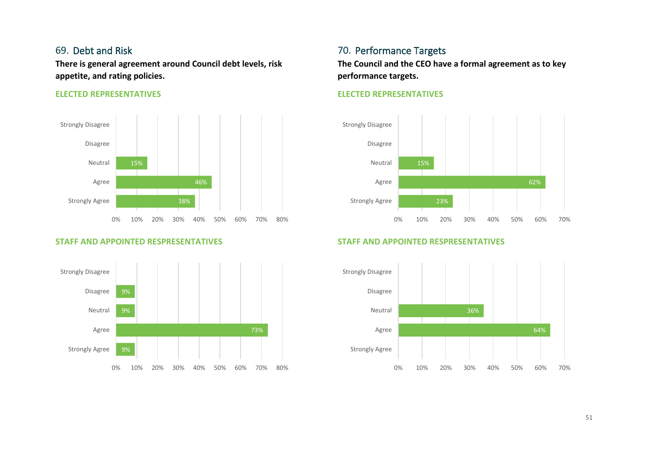#### 69. Debt and Risk

**There is general agreement around Council debt levels, risk appetite, and rating policies.**

#### **ELECTED REPRESENTATIVES**



#### **STAFF AND APPOINTED RESPRESENTATIVES**



### 70. Performance Targets

**The Council and the CEO have a formal agreement as to key performance targets.**

#### **ELECTED REPRESENTATIVES**



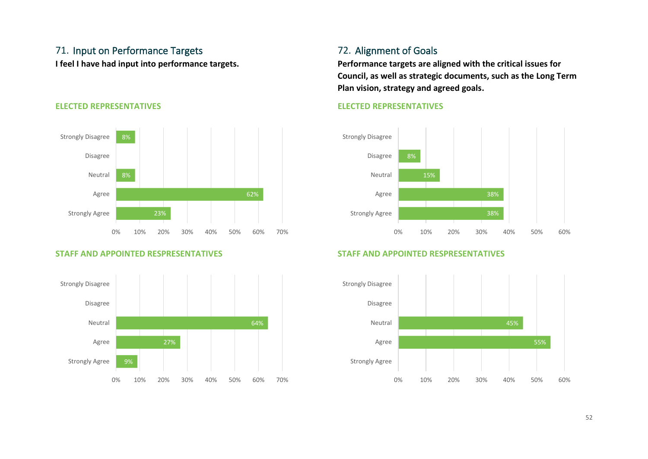### 71. Input on Performance Targets

**I feel I have had input into performance targets.**



#### **ELECTED REPRESENTATIVES**

#### **STAFF AND APPOINTED RESPRESENTATIVES**



### 72. Alignment of Goals

**Performance targets are aligned with the critical issues for Council, as well as strategic documents, such as the Long Term Plan vision, strategy and agreed goals.**

#### **ELECTED REPRESENTATIVES**



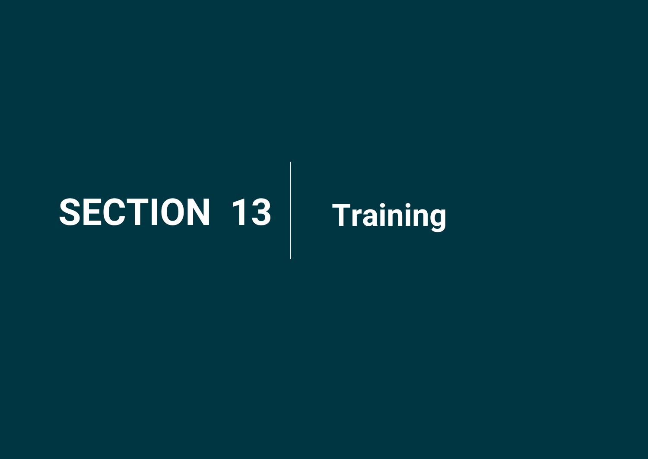## <span id="page-52-0"></span>**SECTION 13 Training**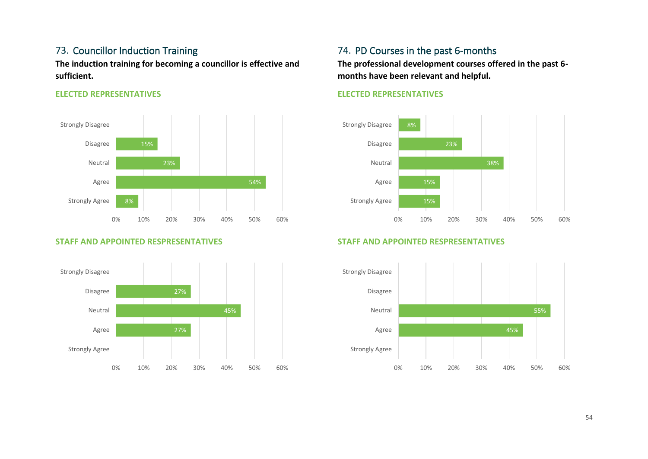#### 73. Councillor Induction Training

**The induction training for becoming a councillor is effective and sufficient.**

#### **ELECTED REPRESENTATIVES**



#### **STAFF AND APPOINTED RESPRESENTATIVES**



#### 74. PD Courses in the past 6-months

**The professional development courses offered in the past 6 months have been relevant and helpful.**

#### **ELECTED REPRESENTATIVES**



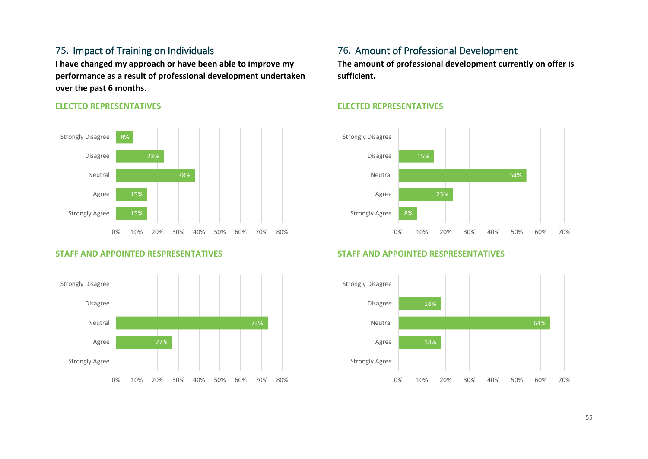#### 75. Impact of Training on Individuals

**I have changed my approach or have been able to improve my performance as a result of professional development undertaken over the past 6 months.**

#### **ELECTED REPRESENTATIVES**



#### **STAFF AND APPOINTED RESPRESENTATIVES**



#### 76. Amount of Professional Development

**The amount of professional development currently on offer is sufficient.**

#### **ELECTED REPRESENTATIVES**



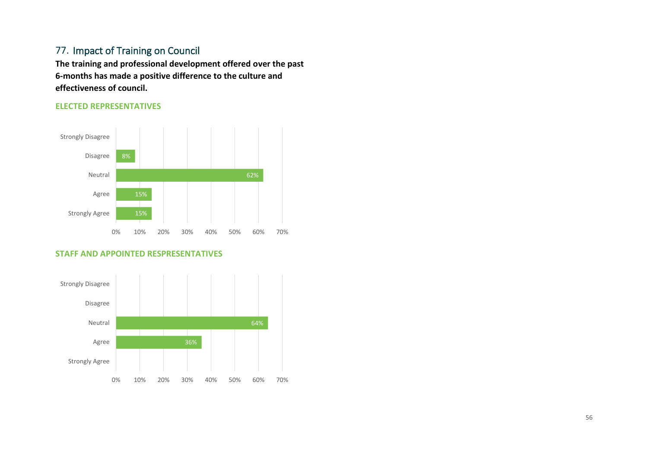#### 77. Impact of Training on Council

**The training and professional development offered over the past 6-months has made a positive difference to the culture and effectiveness of council.**

#### **ELECTED REPRESENTATIVES**



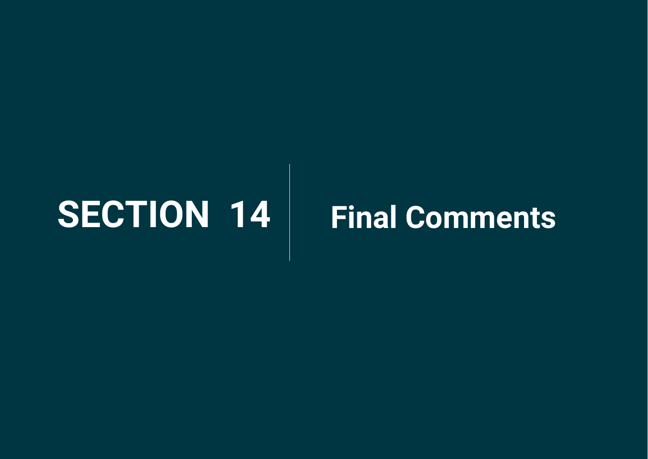## <span id="page-56-0"></span>**SECTION 14 Final Comments**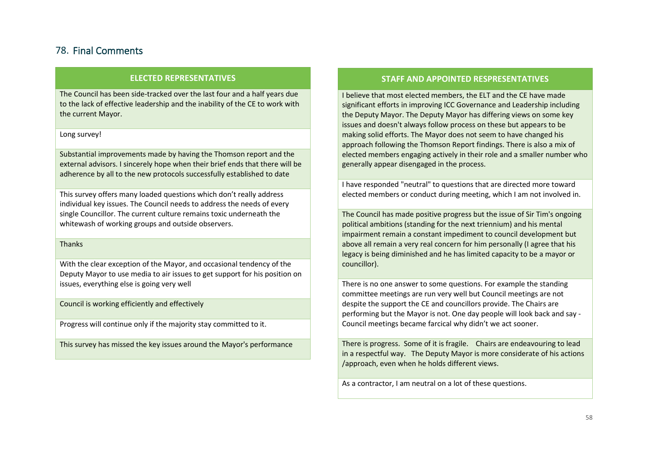#### 78. Final Comments

#### **ELECTED REPRESENTATIVES**

The Council has been side-tracked over the last four and a half years due to the lack of effective leadership and the inability of the CE to work with the current Mayor.

#### Long survey!

Substantial improvements made by having the Thomson report and the external advisors. I sincerely hope when their brief ends that there will be adherence by all to the new protocols successfully established to date

This survey offers many loaded questions which don't really address individual key issues. The Council needs to address the needs of every single Councillor. The current culture remains toxic underneath the whitewash of working groups and outside observers.

Thanks

With the clear exception of the Mayor, and occasional tendency of the Deputy Mayor to use media to air issues to get support for his position on issues, everything else is going very well

Council is working efficiently and effectively

Progress will continue only if the majority stay committed to it.

This survey has missed the key issues around the Mayor's performance

#### **STAFF AND APPOINTED RESPRESENTATIVES**

I believe that most elected members, the ELT and the CE have made significant efforts in improving ICC Governance and Leadership including the Deputy Mayor. The Deputy Mayor has differing views on some key issues and doesn't always follow process on these but appears to be making solid efforts. The Mayor does not seem to have changed his approach following the Thomson Report findings. There is also a mix of elected members engaging actively in their role and a smaller number who generally appear disengaged in the process.

I have responded "neutral" to questions that are directed more toward elected members or conduct during meeting, which I am not involved in.

The Council has made positive progress but the issue of Sir Tim's ongoing political ambitions (standing for the next triennium) and his mental impairment remain a constant impediment to council development but above all remain a very real concern for him personally (I agree that his legacy is being diminished and he has limited capacity to be a mayor or councillor).

There is no one answer to some questions. For example the standing committee meetings are run very well but Council meetings are not despite the support the CE and councillors provide. The Chairs are performing but the Mayor is not. One day people will look back and say - Council meetings became farcical why didn't we act sooner.

There is progress. Some of it is fragile. Chairs are endeavouring to lead in a respectful way. The Deputy Mayor is more considerate of his actions /approach, even when he holds different views.

As a contractor, I am neutral on a lot of these questions.